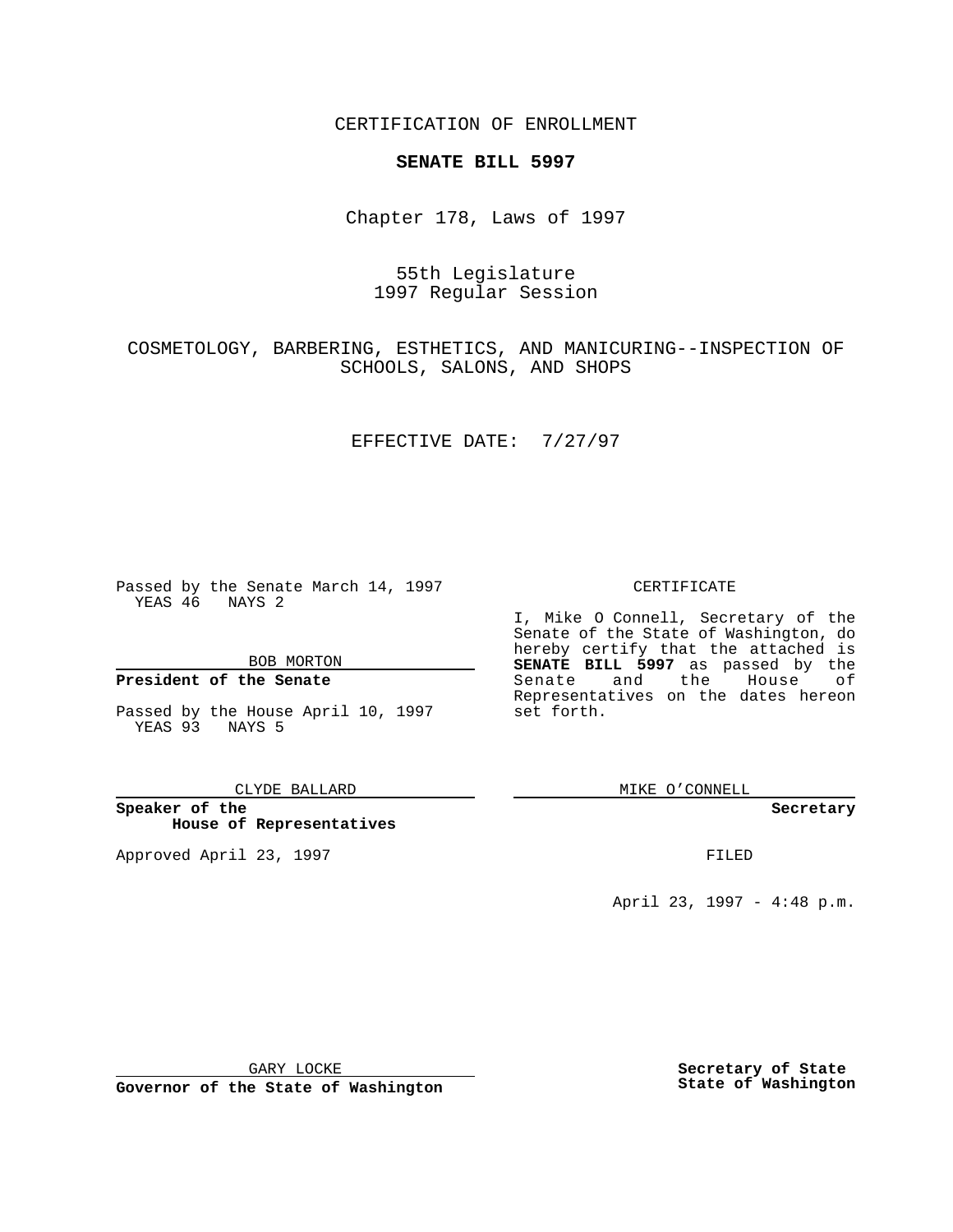CERTIFICATION OF ENROLLMENT

## **SENATE BILL 5997**

Chapter 178, Laws of 1997

55th Legislature 1997 Regular Session

COSMETOLOGY, BARBERING, ESTHETICS, AND MANICURING--INSPECTION OF SCHOOLS, SALONS, AND SHOPS

EFFECTIVE DATE: 7/27/97

Passed by the Senate March 14, 1997 YEAS 46 NAYS 2

BOB MORTON

## **President of the Senate**

Passed by the House April 10, 1997 YEAS 93 NAYS 5

CLYDE BALLARD

**Speaker of the House of Representatives**

Approved April 23, 1997 **FILED** 

## CERTIFICATE

I, Mike O Connell, Secretary of the Senate of the State of Washington, do hereby certify that the attached is **SENATE BILL 5997** as passed by the Senate and the House of Representatives on the dates hereon set forth.

MIKE O'CONNELL

**Secretary**

April 23, 1997 - 4:48 p.m.

GARY LOCKE

**Governor of the State of Washington**

**Secretary of State State of Washington**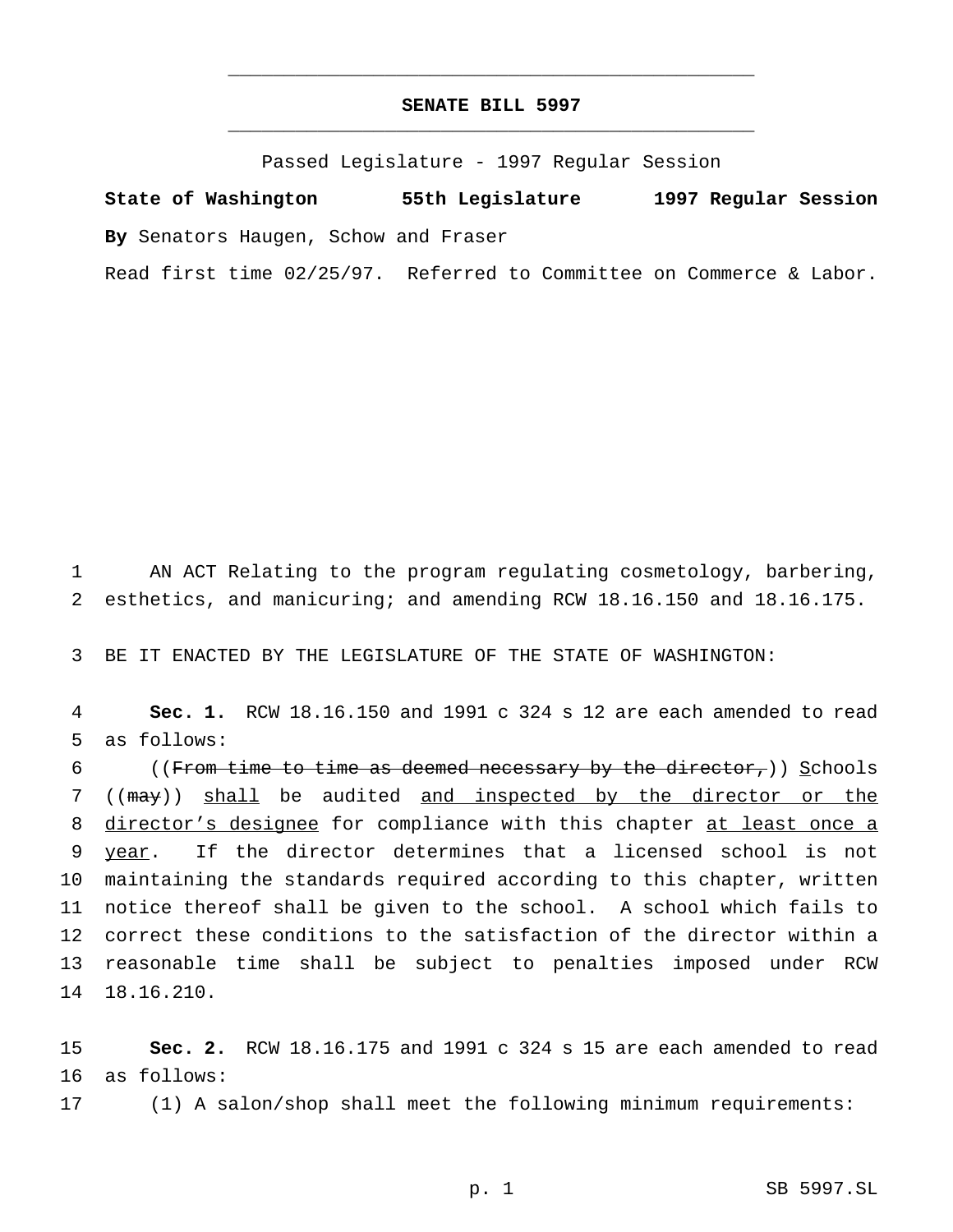## **SENATE BILL 5997** \_\_\_\_\_\_\_\_\_\_\_\_\_\_\_\_\_\_\_\_\_\_\_\_\_\_\_\_\_\_\_\_\_\_\_\_\_\_\_\_\_\_\_\_\_\_\_

\_\_\_\_\_\_\_\_\_\_\_\_\_\_\_\_\_\_\_\_\_\_\_\_\_\_\_\_\_\_\_\_\_\_\_\_\_\_\_\_\_\_\_\_\_\_\_

Passed Legislature - 1997 Regular Session

**State of Washington 55th Legislature 1997 Regular Session By** Senators Haugen, Schow and Fraser

Read first time 02/25/97. Referred to Committee on Commerce & Labor.

1 AN ACT Relating to the program regulating cosmetology, barbering, 2 esthetics, and manicuring; and amending RCW 18.16.150 and 18.16.175.

3 BE IT ENACTED BY THE LEGISLATURE OF THE STATE OF WASHINGTON:

4 **Sec. 1.** RCW 18.16.150 and 1991 c 324 s 12 are each amended to read 5 as follows:

6 ((From time to time as deemed necessary by the director,)) Schools ((may)) shall be audited and inspected by the director or the 8 director's designee for compliance with this chapter at least once a year. If the director determines that a licensed school is not maintaining the standards required according to this chapter, written notice thereof shall be given to the school. A school which fails to correct these conditions to the satisfaction of the director within a reasonable time shall be subject to penalties imposed under RCW 18.16.210.

15 **Sec. 2.** RCW 18.16.175 and 1991 c 324 s 15 are each amended to read 16 as follows:

17 (1) A salon/shop shall meet the following minimum requirements: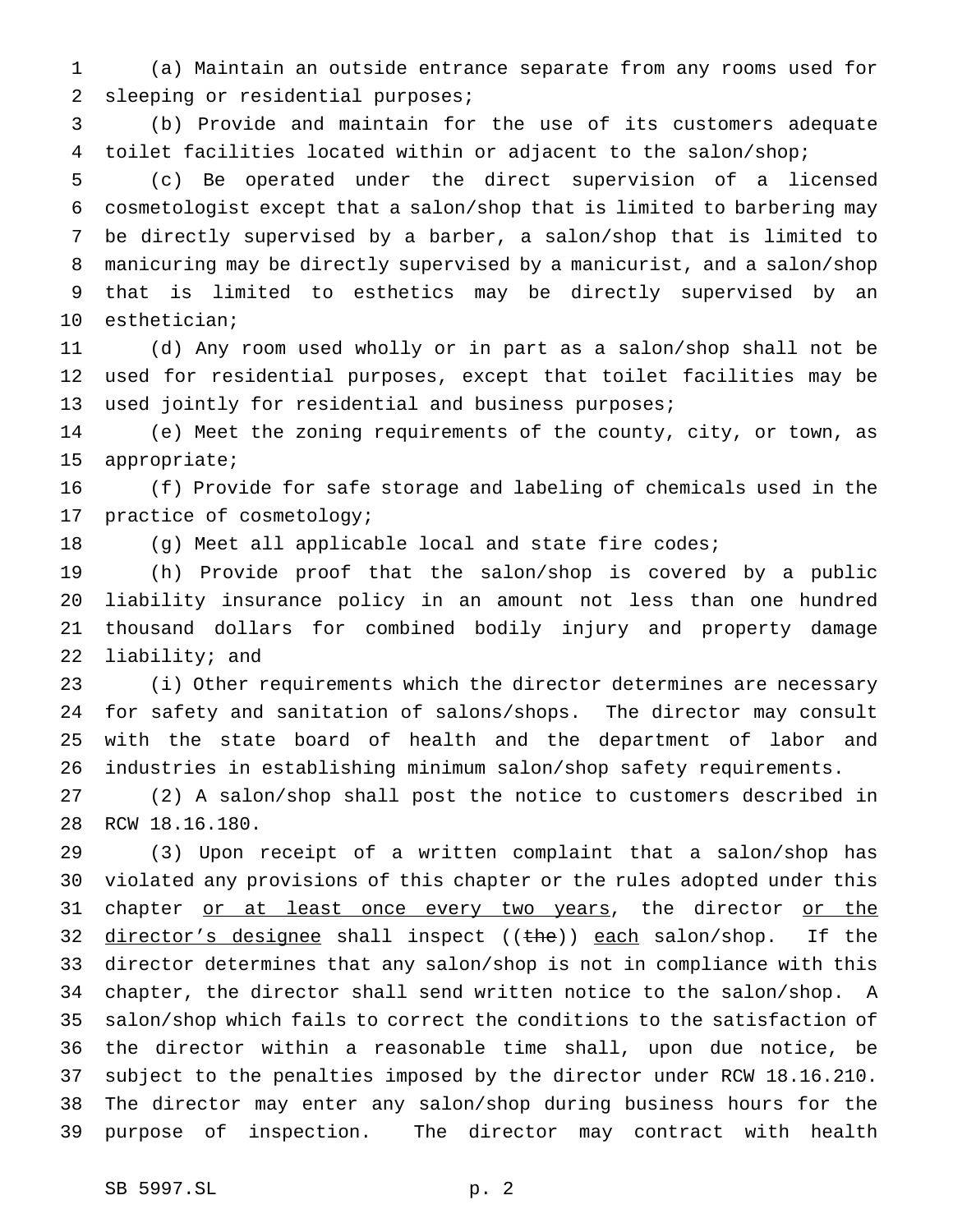(a) Maintain an outside entrance separate from any rooms used for sleeping or residential purposes;

 (b) Provide and maintain for the use of its customers adequate toilet facilities located within or adjacent to the salon/shop;

 (c) Be operated under the direct supervision of a licensed cosmetologist except that a salon/shop that is limited to barbering may be directly supervised by a barber, a salon/shop that is limited to manicuring may be directly supervised by a manicurist, and a salon/shop that is limited to esthetics may be directly supervised by an esthetician;

 (d) Any room used wholly or in part as a salon/shop shall not be used for residential purposes, except that toilet facilities may be used jointly for residential and business purposes;

 (e) Meet the zoning requirements of the county, city, or town, as appropriate;

 (f) Provide for safe storage and labeling of chemicals used in the practice of cosmetology;

(g) Meet all applicable local and state fire codes;

 (h) Provide proof that the salon/shop is covered by a public liability insurance policy in an amount not less than one hundred thousand dollars for combined bodily injury and property damage liability; and

 (i) Other requirements which the director determines are necessary for safety and sanitation of salons/shops. The director may consult with the state board of health and the department of labor and industries in establishing minimum salon/shop safety requirements.

 (2) A salon/shop shall post the notice to customers described in RCW 18.16.180.

 (3) Upon receipt of a written complaint that a salon/shop has violated any provisions of this chapter or the rules adopted under this 31 chapter or at least once every two years, the director or the 32 director's designee shall inspect  $((the))$  each salon/shop. If the director determines that any salon/shop is not in compliance with this chapter, the director shall send written notice to the salon/shop. A salon/shop which fails to correct the conditions to the satisfaction of the director within a reasonable time shall, upon due notice, be subject to the penalties imposed by the director under RCW 18.16.210. The director may enter any salon/shop during business hours for the purpose of inspection. The director may contract with health